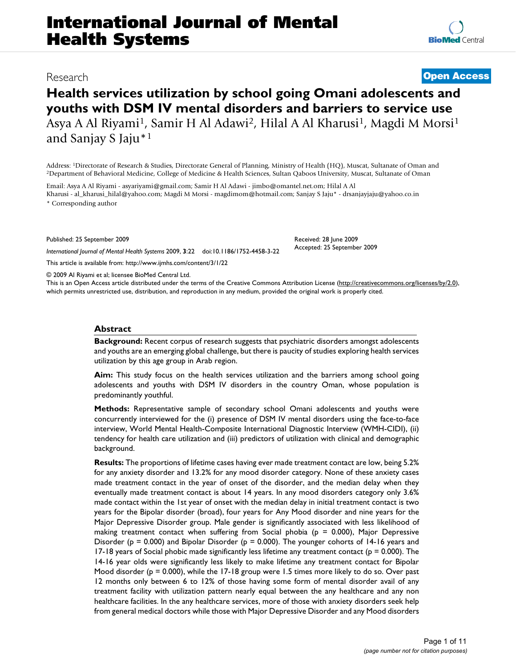# **International Journal of Mental Health Systems**

## Research **[Open Access](http://www.biomedcentral.com/info/about/charter/)**

## **Health services utilization by school going Omani adolescents and youths with DSM IV mental disorders and barriers to service use** Asya A Al Riyami<sup>1</sup>, Samir H Al Adawi<sup>2</sup>, Hilal A Al Kharusi<sup>1</sup>, Magdi M Morsi<sup>1</sup> and Sanjay S Jaju\*1

Address: <sup>1</sup>Directorate of Research & Studies, Directorate General of Planning, Ministry of Health (HQ), Muscat, Sultanate of Oman and <sup>2</sup>Department of Behavioral Medicine, College of Medicine & Health Sciences, Sultan Qab

Email: Asya A Al Riyami - asyariyami@gmail.com; Samir H Al Adawi - jimbo@omantel.net.om; Hilal A Al Kharusi - al\_kharusi\_hilal@yahoo.com; Magdi M Morsi - magdimom@hotmail.com; Sanjay S Jaju\* - drsanjayjaju@yahoo.co.in \* Corresponding author

Published: 25 September 2009

*International Journal of Mental Health Systems* 2009, **3**:22 doi:10.1186/1752-4458-3-22

[This article is available from: http://www.ijmhs.com/content/3/1/22](http://www.ijmhs.com/content/3/1/22)

© 2009 Al Riyami et al; licensee BioMed Central Ltd.

This is an Open Access article distributed under the terms of the Creative Commons Attribution License [\(http://creativecommons.org/licenses/by/2.0\)](http://creativecommons.org/licenses/by/2.0), which permits unrestricted use, distribution, and reproduction in any medium, provided the original work is properly cited.

## **Abstract**

**Background:** Recent corpus of research suggests that psychiatric disorders amongst adolescents and youths are an emerging global challenge, but there is paucity of studies exploring health services utilization by this age group in Arab region.

**Aim:** This study focus on the health services utilization and the barriers among school going adolescents and youths with DSM IV disorders in the country Oman, whose population is predominantly youthful.

**Methods:** Representative sample of secondary school Omani adolescents and youths were concurrently interviewed for the (i) presence of DSM IV mental disorders using the face-to-face interview, World Mental Health-Composite International Diagnostic Interview (WMH-CIDI), (ii) tendency for health care utilization and (iii) predictors of utilization with clinical and demographic background.

**Results:** The proportions of lifetime cases having ever made treatment contact are low, being 5.2% for any anxiety disorder and 13.2% for any mood disorder category. None of these anxiety cases made treatment contact in the year of onset of the disorder, and the median delay when they eventually made treatment contact is about 14 years. In any mood disorders category only 3.6% made contact within the 1st year of onset with the median delay in initial treatment contact is two years for the Bipolar disorder (broad), four years for Any Mood disorder and nine years for the Major Depressive Disorder group. Male gender is significantly associated with less likelihood of making treatment contact when suffering from Social phobia ( $p = 0.000$ ), Major Depressive Disorder ( $p = 0.000$ ) and Bipolar Disorder ( $p = 0.000$ ). The younger cohorts of 14-16 years and 17-18 years of Social phobic made significantly less lifetime any treatment contact ( $p = 0.000$ ). The 14-16 year olds were significantly less likely to make lifetime any treatment contact for Bipolar Mood disorder (p = 0.000), while the 17-18 group were 1.5 times more likely to do so. Over past 12 months only between 6 to 12% of those having some form of mental disorder avail of any treatment facility with utilization pattern nearly equal between the any healthcare and any non healthcare facilities. In the any healthcare services, more of those with anxiety disorders seek help from general medical doctors while those with Major Depressive Disorder and any Mood disorders

Received: 28 June 2009

Accepted: 25 September 2009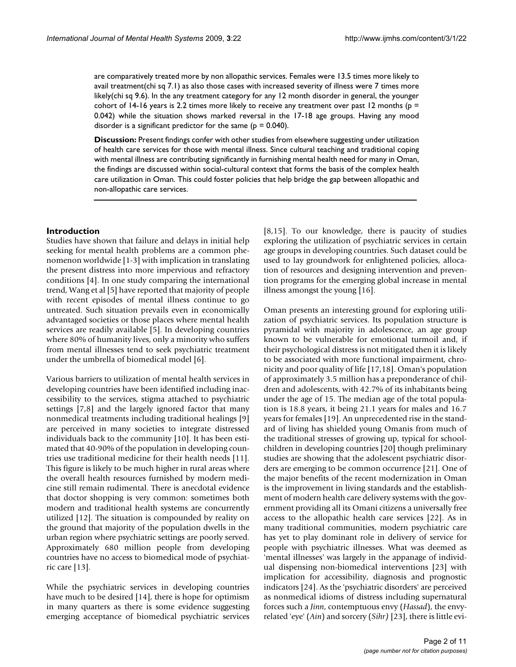are comparatively treated more by non allopathic services. Females were 13.5 times more likely to avail treatment(chi sq 7.1) as also those cases with increased severity of illness were 7 times more likely(chi sq 9.6). In the any treatment category for any 12 month disorder in general, the younger cohort of 14-16 years is 2.2 times more likely to receive any treatment over past 12 months ( $p =$ 0.042) while the situation shows marked reversal in the 17-18 age groups. Having any mood disorder is a significant predictor for the same ( $p = 0.040$ ).

**Discussion:** Present findings confer with other studies from elsewhere suggesting under utilization of health care services for those with mental illness. Since cultural teaching and traditional coping with mental illness are contributing significantly in furnishing mental health need for many in Oman, the findings are discussed within social-cultural context that forms the basis of the complex health care utilization in Oman. This could foster policies that help bridge the gap between allopathic and non-allopathic care services.

#### **Introduction**

Studies have shown that failure and delays in initial help seeking for mental health problems are a common phenomenon worldwide [1-3] with implication in translating the present distress into more impervious and refractory conditions [4]. In one study comparing the international trend, Wang et al [5] have reported that majority of people with recent episodes of mental illness continue to go untreated. Such situation prevails even in economically advantaged societies or those places where mental health services are readily available [5]. In developing countries where 80% of humanity lives, only a minority who suffers from mental illnesses tend to seek psychiatric treatment under the umbrella of biomedical model [6].

Various barriers to utilization of mental health services in developing countries have been identified including inaccessibility to the services, stigma attached to psychiatric settings [7,8] and the largely ignored factor that many nonmedical treatments including traditional healings [9] are perceived in many societies to integrate distressed individuals back to the community [10]. It has been estimated that 40-90% of the population in developing countries use traditional medicine for their health needs [11]. This figure is likely to be much higher in rural areas where the overall health resources furnished by modern medicine still remain rudimental. There is anecdotal evidence that doctor shopping is very common: sometimes both modern and traditional health systems are concurrently utilized [12]. The situation is compounded by reality on the ground that majority of the population dwells in the urban region where psychiatric settings are poorly served. Approximately 680 million people from developing countries have no access to biomedical mode of psychiatric care [13].

While the psychiatric services in developing countries have much to be desired [14], there is hope for optimism in many quarters as there is some evidence suggesting emerging acceptance of biomedical psychiatric services [8,15]. To our knowledge, there is paucity of studies exploring the utilization of psychiatric services in certain age groups in developing countries. Such dataset could be used to lay groundwork for enlightened policies, allocation of resources and designing intervention and prevention programs for the emerging global increase in mental illness amongst the young [16].

Oman presents an interesting ground for exploring utilization of psychiatric services. Its population structure is pyramidal with majority in adolescence, an age group known to be vulnerable for emotional turmoil and, if their psychological distress is not mitigated then it is likely to be associated with more functional impairment, chronicity and poor quality of life [17,18]. Oman's population of approximately 3.5 million has a preponderance of children and adolescents, with 42.7% of its inhabitants being under the age of 15. The median age of the total population is 18.8 years, it being 21.1 years for males and 16.7 years for females [19]. An unprecedented rise in the standard of living has shielded young Omanis from much of the traditional stresses of growing up, typical for schoolchildren in developing countries [20] though preliminary studies are showing that the adolescent psychiatric disorders are emerging to be common occurrence [21]. One of the major benefits of the recent modernization in Oman is the improvement in living standards and the establishment of modern health care delivery systems with the government providing all its Omani citizens a universally free access to the allopathic health care services [22]. As in many traditional communities, modern psychiatric care has yet to play dominant role in delivery of service for people with psychiatric illnesses. What was deemed as 'mental illnesses' was largely in the appanage of individual dispensing non-biomedical interventions [23] with implication for accessibility, diagnosis and prognostic indicators [24]. As the 'psychiatric disorders' are perceived as nonmedical idioms of distress including supernatural forces such a *Jinn*, contemptuous envy (*Hassad*), the envyrelated 'eye' (*Ain*) and sorcery (*Sihr)* [23], there is little evi-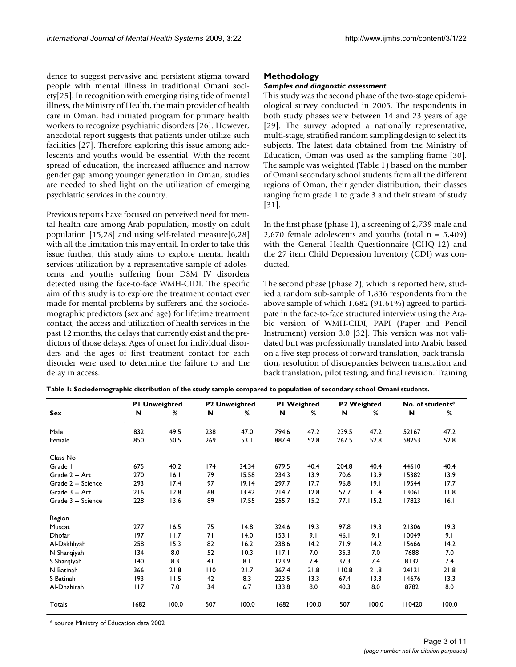dence to suggest pervasive and persistent stigma toward people with mental illness in traditional Omani society[25]. In recognition with emerging rising tide of mental illness, the Ministry of Health, the main provider of health care in Oman, had initiated program for primary health workers to recognize psychiatric disorders [26]. However, anecdotal report suggests that patients under utilize such facilities [27]. Therefore exploring this issue among adolescents and youths would be essential. With the recent spread of education, the increased affluence and narrow gender gap among younger generation in Oman, studies are needed to shed light on the utilization of emerging psychiatric services in the country.

Previous reports have focused on perceived need for mental health care among Arab population, mostly on adult population [15,28] and using self-related measure[6,28] with all the limitation this may entail. In order to take this issue further, this study aims to explore mental health services utilization by a representative sample of adolescents and youths suffering from DSM IV disorders detected using the face-to-face WMH-CIDI. The specific aim of this study is to explore the treatment contact ever made for mental problems by sufferers and the sociodemographic predictors (sex and age) for lifetime treatment contact, the access and utilization of health services in the past 12 months, the delays that currently exist and the predictors of those delays. Ages of onset for individual disorders and the ages of first treatment contact for each disorder were used to determine the failure to and the delay in access.

## **Methodology**

## *Samples and diagnostic assessment*

This study was the second phase of the two-stage epidemiological survey conducted in 2005. The respondents in both study phases were between 14 and 23 years of age [29]. The survey adopted a nationally representative, multi-stage, stratified random sampling design to select its subjects. The latest data obtained from the Ministry of Education, Oman was used as the sampling frame [30]. The sample was weighted (Table 1) based on the number of Omani secondary school students from all the different regions of Oman, their gender distribution, their classes ranging from grade 1 to grade 3 and their stream of study [31].

In the first phase (phase 1), a screening of 2,739 male and 2,670 female adolescents and youths (total  $n = 5,409$ ) with the General Health Questionnaire (GHQ-12) and the 27 item Child Depression Inventory (CDI) was conducted.

The second phase (phase 2), which is reported here, studied a random sub-sample of 1,836 respondents from the above sample of which 1,682 (91.61%) agreed to participate in the face-to-face structured interview using the Arabic version of WMH-CIDI, PAPI (Paper and Pencil Instrument) version 3.0 [32]. This version was not validated but was professionally translated into Arabic based on a five-step process of forward translation, back translation, resolution of discrepancies between translation and back translation, pilot testing, and final revision. Training

| Table 1: Sociodemographic distribution of the study sample compared to population of secondary school Omani students. |  |  |  |
|-----------------------------------------------------------------------------------------------------------------------|--|--|--|
|-----------------------------------------------------------------------------------------------------------------------|--|--|--|

|                    |      | <b>PI Unweighted</b> |     | <b>P2 Unweighted</b> |       | PI Weighted |       | P2 Weighted | No. of students* |       |
|--------------------|------|----------------------|-----|----------------------|-------|-------------|-------|-------------|------------------|-------|
| Sex                | N    | %                    | N   | %                    | N     | %           | N     | %           | N                | %     |
| Male               | 832  | 49.5                 | 238 | 47.0                 | 794.6 | 47.2        | 239.5 | 47.2        | 52167            | 47.2  |
| Female             | 850  | 50.5                 | 269 | 53.1                 | 887.4 | 52.8        | 267.5 | 52.8        | 58253            | 52.8  |
| Class No           |      |                      |     |                      |       |             |       |             |                  |       |
| Grade I            | 675  | 40.2                 | 174 | 34.34                | 679.5 | 40.4        | 204.8 | 40.4        | 44610            | 40.4  |
| Grade 2 -- Art     | 270  | 16.1                 | 79  | 15.58                | 234.3 | 13.9        | 70.6  | 13.9        | 15382            | 13.9  |
| Grade 2 -- Science | 293  | 17.4                 | 97  | 19.14                | 297.7 | 17.7        | 96.8  | 9.1         | 19544            | 17.7  |
| Grade 3 -- Art     | 216  | 12.8                 | 68  | 13.42                | 214.7 | 12.8        | 57.7  | 11.4        | 13061            | 11.8  |
| Grade 3 -- Science | 228  | 13.6                 | 89  | 17.55                | 255.7 | 15.2        | 77.1  | 15.2        | 17823            | 16.1  |
| Region             |      |                      |     |                      |       |             |       |             |                  |       |
| Muscat             | 277  | 16.5                 | 75  | 14.8                 | 324.6 | 19.3        | 97.8  | 19.3        | 21306            | 19.3  |
| Dhofar             | 197  | 11.7                 | 71  | 14.0                 | 153.1 | 9.1         | 46.1  | 9.1         | 10049            | 9.1   |
| Al-Dakhliyah       | 258  | 15.3                 | 82  | 16.2                 | 238.6 | 14.2        | 71.9  | 14.2        | 15666            | 14.2  |
| N Sharqiyah        | 134  | 8.0                  | 52  | 10.3                 | 117.1 | 7.0         | 35.3  | 7.0         | 7688             | 7.0   |
| S Sharqiyah        | 140  | 8.3                  | 41  | 8.1                  | 123.9 | 7.4         | 37.3  | 7.4         | 8132             | 7.4   |
| N Batinah          | 366  | 21.8                 | 110 | 21.7                 | 367.4 | 21.8        | 110.8 | 21.8        | 24121            | 21.8  |
| S Batinah          | 193  | 11.5                 | 42  | 8.3                  | 223.5 | 13.3        | 67.4  | 13.3        | 14676            | 13.3  |
| Al-Dhahirah        | 117  | 7.0                  | 34  | 6.7                  | 133.8 | 8.0         | 40.3  | 8.0         | 8782             | 8.0   |
| Totals             | 1682 | 100.0                | 507 | 100.0                | 1682  | 100.0       | 507   | 100.0       | 110420           | 100.0 |

\* source Ministry of Education data 2002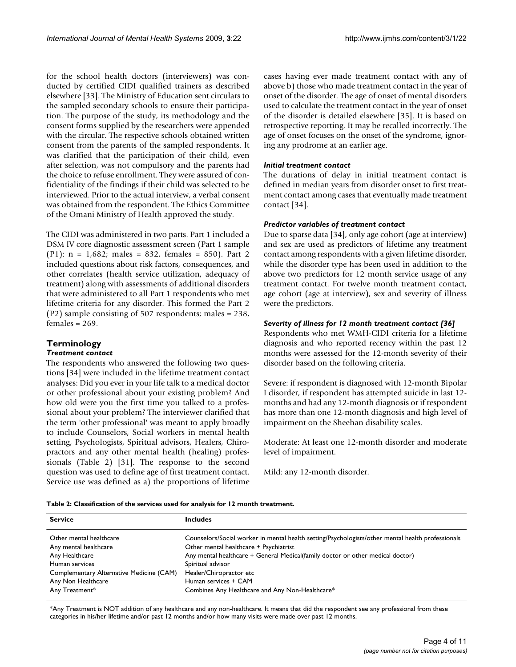for the school health doctors (interviewers) was conducted by certified CIDI qualified trainers as described elsewhere [33]. The Ministry of Education sent circulars to the sampled secondary schools to ensure their participation. The purpose of the study, its methodology and the consent forms supplied by the researchers were appended with the circular. The respective schools obtained written consent from the parents of the sampled respondents. It was clarified that the participation of their child, even after selection, was not compulsory and the parents had the choice to refuse enrollment. They were assured of confidentiality of the findings if their child was selected to be interviewed. Prior to the actual interview, a verbal consent was obtained from the respondent. The Ethics Committee of the Omani Ministry of Health approved the study.

The CIDI was administered in two parts. Part 1 included a DSM IV core diagnostic assessment screen (Part 1 sample (P1): n = 1,682; males = 832, females = 850). Part 2 included questions about risk factors, consequences, and other correlates (health service utilization, adequacy of treatment) along with assessments of additional disorders that were administered to all Part 1 respondents who met lifetime criteria for any disorder. This formed the Part 2 (P2) sample consisting of 507 respondents; males = 238, females = 269.

## **Terminology**

## *Treatment contact*

The respondents who answered the following two questions [34] were included in the lifetime treatment contact analyses: Did you ever in your life talk to a medical doctor or other professional about your existing problem? And how old were you the first time you talked to a professional about your problem? The interviewer clarified that the term 'other professional' was meant to apply broadly to include Counselors, Social workers in mental health setting, Psychologists, Spiritual advisors, Healers, Chiropractors and any other mental health (healing) professionals (Table 2) [31]. The response to the second question was used to define age of first treatment contact. Service use was defined as a) the proportions of lifetime cases having ever made treatment contact with any of above b) those who made treatment contact in the year of onset of the disorder. The age of onset of mental disorders used to calculate the treatment contact in the year of onset of the disorder is detailed elsewhere [35]. It is based on retrospective reporting. It may be recalled incorrectly. The age of onset focuses on the onset of the syndrome, ignoring any prodrome at an earlier age.

## *Initial treatment contact*

The durations of delay in initial treatment contact is defined in median years from disorder onset to first treatment contact among cases that eventually made treatment contact [34].

## *Predictor variables of treatment contact*

Due to sparse data [34], only age cohort (age at interview) and sex are used as predictors of lifetime any treatment contact among respondents with a given lifetime disorder, while the disorder type has been used in addition to the above two predictors for 12 month service usage of any treatment contact. For twelve month treatment contact, age cohort (age at interview), sex and severity of illness were the predictors.

## *Severity of illness for 12 month treatment contact [36]*

Respondents who met WMH-CIDI criteria for a lifetime diagnosis and who reported recency within the past 12 months were assessed for the 12-month severity of their disorder based on the following criteria.

Severe: if respondent is diagnosed with 12-month Bipolar I disorder, if respondent has attempted suicide in last 12 months and had any 12-month diagnosis or if respondent has more than one 12-month diagnosis and high level of impairment on the Sheehan disability scales.

Moderate: At least one 12-month disorder and moderate level of impairment.

Mild: any 12-month disorder.

**Table 2: Classification of the services used for analysis for 12 month treatment.**

| <b>Includes</b>                                                                                   |
|---------------------------------------------------------------------------------------------------|
| Counselors/Social worker in mental health setting/Psychologists/other mental health professionals |
| Other mental healthcare + Psychiatrist                                                            |
| Any mental healthcare + General Medical(family doctor or other medical doctor)                    |
| Spiritual advisor                                                                                 |
| Healer/Chiropractor etc                                                                           |
| Human services + CAM                                                                              |
| Combines Any Healthcare and Any Non-Healthcare*                                                   |
|                                                                                                   |

\*Any Treatment is NOT addition of any healthcare and any non-healthcare. It means that did the respondent see any professional from these categories in his/her lifetime and/or past 12 months and/or how many visits were made over past 12 months.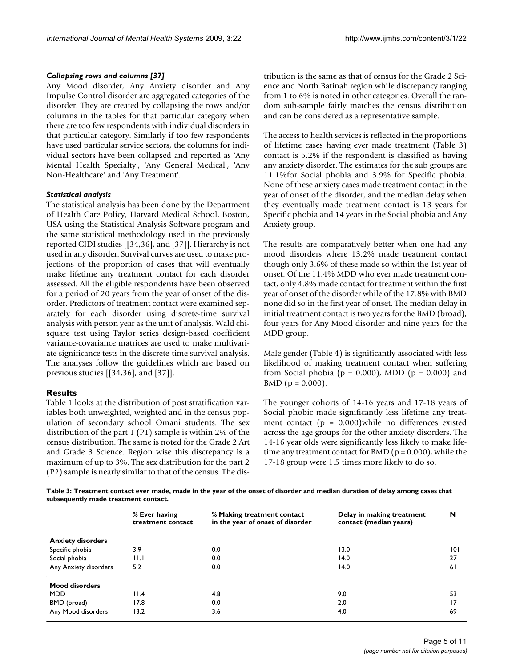#### *Collapsing rows and columns [37]*

Any Mood disorder, Any Anxiety disorder and Any Impulse Control disorder are aggregated categories of the disorder. They are created by collapsing the rows and/or columns in the tables for that particular category when there are too few respondents with individual disorders in that particular category. Similarly if too few respondents have used particular service sectors, the columns for individual sectors have been collapsed and reported as 'Any Mental Health Specialty', 'Any General Medical', 'Any Non-Healthcare' and 'Any Treatment'.

#### *Statistical analysis*

The statistical analysis has been done by the Department of Health Care Policy, Harvard Medical School, Boston, USA using the Statistical Analysis Software program and the same statistical methodology used in the previously reported CIDI studies [[34,36], and [37]]. Hierarchy is not used in any disorder. Survival curves are used to make projections of the proportion of cases that will eventually make lifetime any treatment contact for each disorder assessed. All the eligible respondents have been observed for a period of 20 years from the year of onset of the disorder. Predictors of treatment contact were examined separately for each disorder using discrete-time survival analysis with person year as the unit of analysis. Wald chisquare test using Taylor series design-based coefficient variance-covariance matrices are used to make multivariate significance tests in the discrete-time survival analysis. The analyses follow the guidelines which are based on previous studies [[34,36], and [37]].

#### **Results**

Table 1 looks at the distribution of post stratification variables both unweighted, weighted and in the census population of secondary school Omani students. The sex distribution of the part 1 (P1) sample is within 2% of the census distribution. The same is noted for the Grade 2 Art and Grade 3 Science. Region wise this discrepancy is a maximum of up to 3%. The sex distribution for the part 2 (P2) sample is nearly similar to that of the census. The distribution is the same as that of census for the Grade 2 Science and North Batinah region while discrepancy ranging from 1 to 6% is noted in other categories. Overall the random sub-sample fairly matches the census distribution and can be considered as a representative sample.

The access to health services is reflected in the proportions of lifetime cases having ever made treatment (Table 3) contact is 5.2% if the respondent is classified as having any anxiety disorder. The estimates for the sub groups are 11.1%for Social phobia and 3.9% for Specific phobia. None of these anxiety cases made treatment contact in the year of onset of the disorder, and the median delay when they eventually made treatment contact is 13 years for Specific phobia and 14 years in the Social phobia and Any Anxiety group.

The results are comparatively better when one had any mood disorders where 13.2% made treatment contact though only 3.6% of these made so within the 1st year of onset. Of the 11.4% MDD who ever made treatment contact, only 4.8% made contact for treatment within the first year of onset of the disorder while of the 17.8% with BMD none did so in the first year of onset. The median delay in initial treatment contact is two years for the BMD (broad), four years for Any Mood disorder and nine years for the MDD group.

Male gender (Table 4) is significantly associated with less likelihood of making treatment contact when suffering from Social phobia ( $p = 0.000$ ), MDD ( $p = 0.000$ ) and  $BMD (p = 0.000)$ .

The younger cohorts of 14-16 years and 17-18 years of Social phobic made significantly less lifetime any treatment contact ( $p = 0.000$ )while no differences existed across the age groups for the other anxiety disorders. The 14-16 year olds were significantly less likely to make lifetime any treatment contact for BMD ( $p = 0.000$ ), while the 17-18 group were 1.5 times more likely to do so.

**Table 3: Treatment contact ever made, made in the year of the onset of disorder and median duration of delay among cases that subsequently made treatment contact.**

|                          | % Ever having<br>treatment contact | % Making treatment contact<br>in the year of onset of disorder | Delay in making treatment<br>contact (median years) | N   |
|--------------------------|------------------------------------|----------------------------------------------------------------|-----------------------------------------------------|-----|
| <b>Anxiety disorders</b> |                                    |                                                                |                                                     |     |
| Specific phobia          | 3.9                                | 0.0                                                            | 13.0                                                | 101 |
| Social phobia            | 11.1                               | 0.0                                                            | 14.0                                                | 27  |
| Any Anxiety disorders    | 5.2                                | 0.0                                                            | 14.0                                                | 61  |
| <b>Mood disorders</b>    |                                    |                                                                |                                                     |     |
| <b>MDD</b>               | 11.4                               | 4.8                                                            | 9.0                                                 | 53  |
| BMD (broad)              | 17.8                               | 0.0                                                            | 2.0                                                 | 17  |
| Any Mood disorders       | 13.2                               | 3.6                                                            | 4.0                                                 | 69  |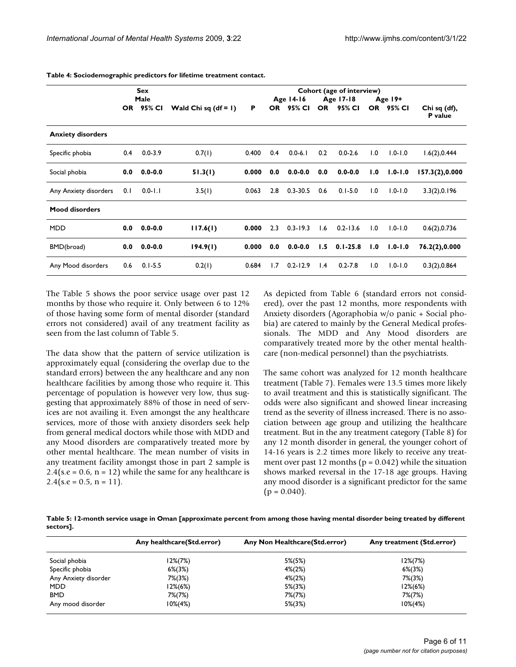|                          |     | <b>Sex</b>       |                        |       |     |                  |           | Cohort (age of interview) |     |                  |                         |
|--------------------------|-----|------------------|------------------------|-------|-----|------------------|-----------|---------------------------|-----|------------------|-------------------------|
|                          |     | Male             |                        |       |     | Age 14-16        |           | Age 17-18                 |     | Age $19+$        |                         |
|                          |     | <b>OR 95% CI</b> | Wald Chi sq $(df = I)$ | P     |     | <b>OR 95% CI</b> | <b>OR</b> | 95% CI                    |     | <b>OR 95% CI</b> | Chi sq (df),<br>P value |
| <b>Anxiety disorders</b> |     |                  |                        |       |     |                  |           |                           |     |                  |                         |
| Specific phobia          | 0.4 | $0.0 - 3.9$      | 0.7(1)                 | 0.400 | 0.4 | $0.0 - 6.1$      | 0.2       | $0.0 - 2.6$               | 1.0 | $1.0 - 1.0$      | $1.6(2)$ , 0.444        |
| Social phobia            | 0.0 | $0.0 - 0.0$      | 51.3(1)                | 0.000 | 0.0 | $0.0 - 0.0$      | 0.0       | $0.0 - 0.0$               | 1.0 | $1.0 - 1.0$      | 157.3(2),0.000          |
| Any Anxiety disorders    | 0.1 | $0.0 - 1.1$      | 3.5(1)                 | 0.063 | 2.8 | $0.3 - 30.5$     | 0.6       | $0.1 - 5.0$               | 1.0 | $1.0 - 1.0$      | $3.3(2)$ , 0.196        |
| <b>Mood disorders</b>    |     |                  |                        |       |     |                  |           |                           |     |                  |                         |
| <b>MDD</b>               | 0.0 | $0.0 - 0.0$      | 117.6(1)               | 0.000 | 2.3 | $0.3 - 19.3$     | 1.6       | $0.2 - 13.6$              | 1.0 | $1.0 - 1.0$      | 0.6(2), 0.736           |
| BMD(broad)               | 0.0 | $0.0 - 0.0$      | 194.9(1)               | 0.000 | 0.0 | $0.0 - 0.0$      | 1.5       | $0.1 - 25.8$              | 1.0 | $1.0 - 1.0$      | 76.2(2),0.000           |
| Any Mood disorders       | 0.6 | $0.1 - 5.5$      | 0.2(1)                 | 0.684 | 1.7 | $0.2 - 12.9$     | 1.4       | $0.2 - 7.8$               | 1.0 | $1.0 - 1.0$      | $0.3(2)$ , 0.864        |

**Table 4: Sociodemographic predictors for lifetime treatment contact.**

The Table 5 shows the poor service usage over past 12 months by those who require it. Only between 6 to 12% of those having some form of mental disorder (standard errors not considered) avail of any treatment facility as seen from the last column of Table 5.

The data show that the pattern of service utilization is approximately equal (considering the overlap due to the standard errors) between the any healthcare and any non healthcare facilities by among those who require it. This percentage of population is however very low, thus suggesting that approximately 88% of those in need of services are not availing it. Even amongst the any healthcare services, more of those with anxiety disorders seek help from general medical doctors while those with MDD and any Mood disorders are comparatively treated more by other mental healthcare. The mean number of visits in any treatment facility amongst those in part 2 sample is  $2.4$ (s.e = 0.6, n = 12) while the same for any healthcare is  $2.4$ (s.e = 0.5, n = 11).

As depicted from Table 6 (standard errors not considered), over the past 12 months, more respondents with Anxiety disorders (Agoraphobia w/o panic + Social phobia) are catered to mainly by the General Medical professionals. The MDD and Any Mood disorders are comparatively treated more by the other mental healthcare (non-medical personnel) than the psychiatrists.

The same cohort was analyzed for 12 month healthcare treatment (Table 7). Females were 13.5 times more likely to avail treatment and this is statistically significant. The odds were also significant and showed linear increasing trend as the severity of illness increased. There is no association between age group and utilizing the healthcare treatment. But in the any treatment category (Table 8) for any 12 month disorder in general, the younger cohort of 14-16 years is 2.2 times more likely to receive any treatment over past 12 months ( $p = 0.042$ ) while the situation shows marked reversal in the 17-18 age groups. Having any mood disorder is a significant predictor for the same  $(p = 0.040)$ .

**Table 5: 12-month service usage in Oman [approximate percent from among those having mental disorder being treated by different sectors].**

|                      | Any healthcare (Std.error) | Any Non Healthcare (Std.error) | Any treatment (Std.error) |
|----------------------|----------------------------|--------------------------------|---------------------------|
| Social phobia        | 12%(7%)                    | 5%(5%)                         | $12\%(7\%)$               |
| Specific phobia      | $6\%(3\%)$                 | $4\%(2\%)$                     | $6\%(3\%)$                |
| Any Anxiety disorder | 7%(3%)                     | $4\%(2\%)$                     | 7%(3%)                    |
| <b>MDD</b>           | $12\%(6\%)$                | $5\%(3\%)$                     | $12\%(6\%)$               |
| <b>BMD</b>           | 7%(7%)                     | 7%(7%)                         | 7%(7%)                    |
| Any mood disorder    | $10\%(4\%)$                | 5%(3%)                         | $10\%(4\%)$               |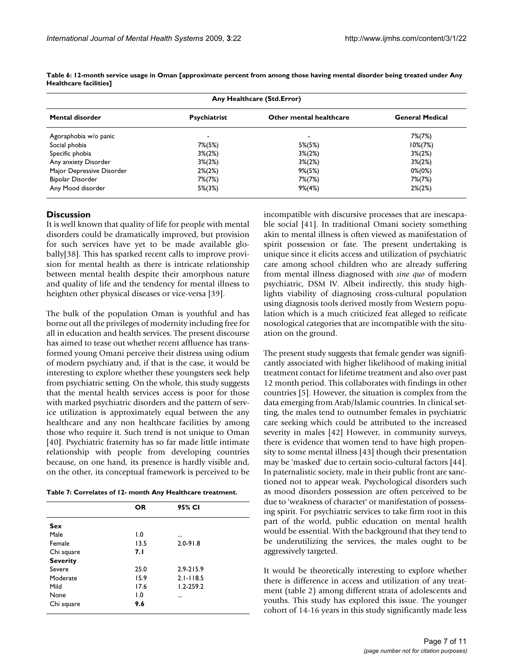| Any Healthcare (Std.Error) |                     |                         |                        |  |  |  |
|----------------------------|---------------------|-------------------------|------------------------|--|--|--|
| Mental disorder            | <b>Psychiatrist</b> | Other mental healthcare | <b>General Medical</b> |  |  |  |
| Agoraphobia w/o panic      |                     | $\blacksquare$          | 7%(7%)                 |  |  |  |
| Social phobia              | 7%(5%)              | $5\%(5\%)$              | $10\%(7\%)$            |  |  |  |
| Specific phobia            | $3\%(2\%)$          | $3\%(2\%)$              | $3\%(2\%)$             |  |  |  |
| Any anxiety Disorder       | $3\%(2\%)$          | $3\%(2\%)$              | $3\%(2\%)$             |  |  |  |
| Major Depressive Disorder  | $2\%(2\%)$          | 9%(5%)                  | $0\% (0\%)$            |  |  |  |
| Bipolar Disorder           | 7%(7%)              | 7%(7%)                  | 7%(7%)                 |  |  |  |
| Any Mood disorder          | 5%(3%)              | 9%(4%)                  | $2\%(2\%)$             |  |  |  |

**Table 6: 12-month service usage in Oman [approximate percent from among those having mental disorder being treated under Any Healthcare facilities]**

## **Discussion**

It is well known that quality of life for people with mental disorders could be dramatically improved, but provision for such services have yet to be made available globally[38]. This has sparked recent calls to improve provision for mental health as there is intricate relationship between mental health despite their amorphous nature and quality of life and the tendency for mental illness to heighten other physical diseases or vice-versa [39].

The bulk of the population Oman is youthful and has borne out all the privileges of modernity including free for all in education and health services. The present discourse has aimed to tease out whether recent affluence has transformed young Omani perceive their distress using odium of modern psychiatry and, if that is the case, it would be interesting to explore whether these youngsters seek help from psychiatric setting. On the whole, this study suggests that the mental health services access is poor for those with marked psychiatric disorders and the pattern of service utilization is approximately equal between the any healthcare and any non healthcare facilities by among those who require it. Such trend is not unique to Oman [40]. Psychiatric fraternity has so far made little intimate relationship with people from developing countries because, on one hand, its presence is hardly visible and, on the other, its conceptual framework is perceived to be

|  |  |  |  |  |  | Table 7: Correlates of 12- month Any Healthcare treatment. |  |
|--|--|--|--|--|--|------------------------------------------------------------|--|
|--|--|--|--|--|--|------------------------------------------------------------|--|

|                 | <b>OR</b>        | 95% CI        |
|-----------------|------------------|---------------|
| <b>Sex</b>      |                  |               |
| Male            | 1.0              |               |
| Female          | 13.5             | $2.0 - 91.8$  |
| Chi square      | 7. I             |               |
| <b>Severity</b> |                  |               |
| Severe          | 25.0             | 2.9-215.9     |
| Moderate        | 15.9             | $2.1 - 118.5$ |
| Mild            | 17.6             | $1.2 - 259.2$ |
| None            | $\overline{1.0}$ |               |
| Chi square      | 9.6              |               |

incompatible with discursive processes that are inescapable social [41]. In traditional Omani society something akin to mental illness is often viewed as manifestation of spirit possession or fate. The present undertaking is unique since it elicits access and utilization of psychiatric care among school children who are already suffering from mental illness diagnosed with *sine quo* of modern psychiatric, DSM IV. Albeit indirectly, this study highlights viability of diagnosing cross-cultural population using diagnosis tools derived mostly from Western population which is a much criticized feat alleged to reificate nosological categories that are incompatible with the situation on the ground.

The present study suggests that female gender was significantly associated with higher likelihood of making initial treatment contact for lifetime treatment and also over past 12 month period. This collaborates with findings in other countries [5]. However, the situation is complex from the data emerging from Arab/Islamic countries. In clinical setting, the males tend to outnumber females in psychiatric care seeking which could be attributed to the increased severity in males [42] However, in community surveys, there is evidence that women tend to have high propensity to some mental illness [43] though their presentation may be 'masked' due to certain socio-cultural factors [44]. In paternalistic society, male in their public front are sanctioned not to appear weak. Psychological disorders such as mood disorders possession are often perceived to be due to 'weakness of character' or manifestation of possessing spirit. For psychiatric services to take firm root in this part of the world, public education on mental health would be essential. With the background that they tend to be underutilizing the services, the males ought to be aggressively targeted.

It would be theoretically interesting to explore whether there is difference in access and utilization of any treatment (table 2) among different strata of adolescents and youths. This study has explored this issue. The younger cohort of 14-16 years in this study significantly made less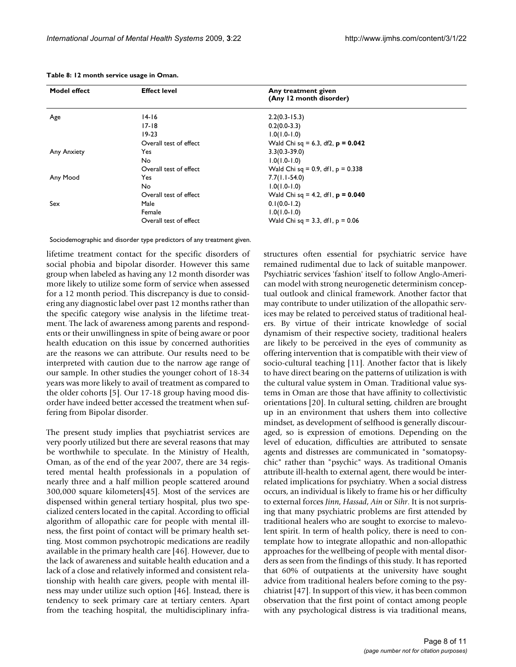| Model effect       | <b>Effect level</b>    | Any treatment given<br>(Any 12 month disorder) |  |
|--------------------|------------------------|------------------------------------------------|--|
| Age                | $14 - 16$              | $2.2(0.3 - 15.3)$                              |  |
|                    | $17 - 18$              | $0.2(0.0-3.3)$                                 |  |
|                    | $19-23$                | $1.0(1.0-1.0)$                                 |  |
|                    | Overall test of effect | Wald Chi sq = 6.3, df2, $p = 0.042$            |  |
| <b>Any Anxiety</b> | Yes.                   | $3.3(0.3-39.0)$                                |  |
|                    | No                     | $1.0(1.0-1.0)$                                 |  |
|                    | Overall test of effect | Wald Chi sq = 0.9, dfl, $p = 0.338$            |  |
| Any Mood           | Yes.                   | $7.7(1.1-54.0)$                                |  |
|                    | No.                    | $1.0(1.0-1.0)$                                 |  |
|                    | Overall test of effect | Wald Chi sq = 4.2, dfl, $p = 0.040$            |  |
| Sex                | Male                   | $0.1(0.0-1.2)$                                 |  |
|                    | Female                 | $1.0(1.0-1.0)$                                 |  |
|                    | Overall test of effect | Wald Chi sq = 3.3, dfl, $p = 0.06$             |  |

**Table 8: 12 month service usage in Oman.** 

Sociodemographic and disorder type predictors of any treatment given.

lifetime treatment contact for the specific disorders of social phobia and bipolar disorder. However this same group when labeled as having any 12 month disorder was more likely to utilize some form of service when assessed for a 12 month period. This discrepancy is due to considering any diagnostic label over past 12 months rather than the specific category wise analysis in the lifetime treatment. The lack of awareness among parents and respondents or their unwillingness in spite of being aware or poor health education on this issue by concerned authorities are the reasons we can attribute. Our results need to be interpreted with caution due to the narrow age range of our sample. In other studies the younger cohort of 18-34 years was more likely to avail of treatment as compared to the older cohorts [5]. Our 17-18 group having mood disorder have indeed better accessed the treatment when suffering from Bipolar disorder.

The present study implies that psychiatrist services are very poorly utilized but there are several reasons that may be worthwhile to speculate. In the Ministry of Health, Oman, as of the end of the year 2007, there are 34 registered mental health professionals in a population of nearly three and a half million people scattered around 300,000 square kilometers[45]. Most of the services are dispensed within general tertiary hospital, plus two specialized centers located in the capital. According to official algorithm of allopathic care for people with mental illness, the first point of contact will be primary health setting. Most common psychotropic medications are readily available in the primary health care [46]. However, due to the lack of awareness and suitable health education and a lack of a close and relatively informed and consistent relationship with health care givers, people with mental illness may under utilize such option [46]. Instead, there is tendency to seek primary care at tertiary centers. Apart from the teaching hospital, the multidisciplinary infrastructures often essential for psychiatric service have remained rudimental due to lack of suitable manpower. Psychiatric services 'fashion' itself to follow Anglo-American model with strong neurogenetic determinism conceptual outlook and clinical framework. Another factor that may contribute to under utilization of the allopathic services may be related to perceived status of traditional healers. By virtue of their intricate knowledge of social dynamism of their respective society, traditional healers are likely to be perceived in the eyes of community as offering intervention that is compatible with their view of socio-cultural teaching [11]. Another factor that is likely to have direct bearing on the patterns of utilization is with the cultural value system in Oman. Traditional value systems in Oman are those that have affinity to collectivistic orientations [20]. In cultural setting, children are brought up in an environment that ushers them into collective mindset, as development of selfhood is generally discouraged, so is expression of emotions. Depending on the level of education, difficulties are attributed to sensate agents and distresses are communicated in "somatopsychic" rather than "psychic" ways. As traditional Omanis attribute ill-health to external agent, there would be interrelated implications for psychiatry. When a social distress occurs, an individual is likely to frame his or her difficulty to external forces *Jinn*, *Hassad*, *Ain* or *Sihr*. It is not surprising that many psychiatric problems are first attended by traditional healers who are sought to exorcise to malevolent spirit. In term of health policy, there is need to contemplate how to integrate allopathic and non-allopathic approaches for the wellbeing of people with mental disorders as seen from the findings of this study. It has reported that 60% of outpatients at the university have sought advice from traditional healers before coming to the psychiatrist [47]. In support of this view, it has been common observation that the first point of contact among people with any psychological distress is via traditional means,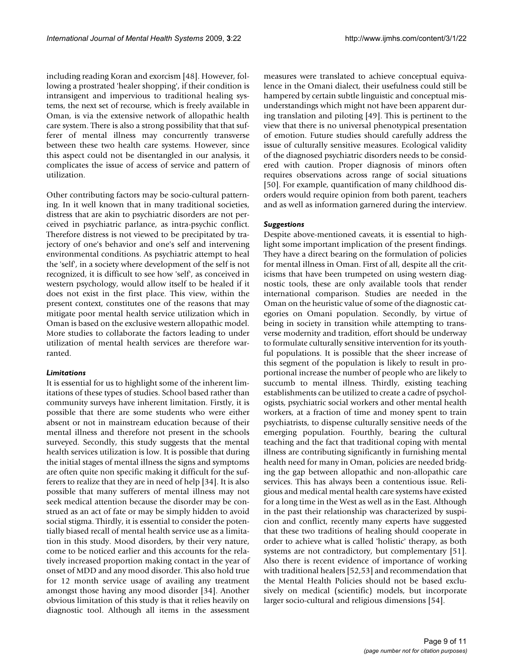including reading Koran and exorcism [48]. However, following a prostrated 'healer shopping', if their condition is intransigent and impervious to traditional healing systems, the next set of recourse, which is freely available in Oman, is via the extensive network of allopathic health care system. There is also a strong possibility that that sufferer of mental illness may concurrently transverse between these two health care systems. However, since this aspect could not be disentangled in our analysis, it complicates the issue of access of service and pattern of utilization.

Other contributing factors may be socio-cultural patterning. In it well known that in many traditional societies, distress that are akin to psychiatric disorders are not perceived in psychiatric parlance, as intra-psychic conflict. Therefore distress is not viewed to be precipitated by trajectory of one's behavior and one's self and intervening environmental conditions. As psychiatric attempt to heal the 'self', in a society where development of the self is not recognized, it is difficult to see how 'self', as conceived in western psychology, would allow itself to be healed if it does not exist in the first place. This view, within the present context, constitutes one of the reasons that may mitigate poor mental health service utilization which in Oman is based on the exclusive western allopathic model. More studies to collaborate the factors leading to under utilization of mental health services are therefore warranted.

## *Limitations*

It is essential for us to highlight some of the inherent limitations of these types of studies. School based rather than community surveys have inherent limitation. Firstly, it is possible that there are some students who were either absent or not in mainstream education because of their mental illness and therefore not present in the schools surveyed. Secondly, this study suggests that the mental health services utilization is low. It is possible that during the initial stages of mental illness the signs and symptoms are often quite non specific making it difficult for the sufferers to realize that they are in need of help [34]. It is also possible that many sufferers of mental illness may not seek medical attention because the disorder may be construed as an act of fate or may be simply hidden to avoid social stigma. Thirdly, it is essential to consider the potentially biased recall of mental health service use as a limitation in this study. Mood disorders, by their very nature, come to be noticed earlier and this accounts for the relatively increased proportion making contact in the year of onset of MDD and any mood disorder. This also hold true for 12 month service usage of availing any treatment amongst those having any mood disorder [34]. Another obvious limitation of this study is that it relies heavily on diagnostic tool. Although all items in the assessment

measures were translated to achieve conceptual equivalence in the Omani dialect, their usefulness could still be hampered by certain subtle linguistic and conceptual misunderstandings which might not have been apparent during translation and piloting [49]. This is pertinent to the view that there is no universal phenotypical presentation of emotion. Future studies should carefully address the issue of culturally sensitive measures. Ecological validity of the diagnosed psychiatric disorders needs to be considered with caution. Proper diagnosis of minors often requires observations across range of social situations [50]. For example, quantification of many childhood disorders would require opinion from both parent, teachers and as well as information garnered during the interview.

## *Suggestions*

Despite above-mentioned caveats, it is essential to highlight some important implication of the present findings. They have a direct bearing on the formulation of policies for mental illness in Oman. First of all, despite all the criticisms that have been trumpeted on using western diagnostic tools, these are only available tools that render international comparison. Studies are needed in the Oman on the heuristic value of some of the diagnostic categories on Omani population. Secondly, by virtue of being in society in transition while attempting to transverse modernity and tradition, effort should be underway to formulate culturally sensitive intervention for its youthful populations. It is possible that the sheer increase of this segment of the population is likely to result in proportional increase the number of people who are likely to succumb to mental illness. Thirdly, existing teaching establishments can be utilized to create a cadre of psychologists, psychiatric social workers and other mental health workers, at a fraction of time and money spent to train psychiatrists, to dispense culturally sensitive needs of the emerging population. Fourthly, bearing the cultural teaching and the fact that traditional coping with mental illness are contributing significantly in furnishing mental health need for many in Oman, policies are needed bridging the gap between allopathic and non-allopathic care services. This has always been a contentious issue. Religious and medical mental health care systems have existed for a long time in the West as well as in the East. Although in the past their relationship was characterized by suspicion and conflict, recently many experts have suggested that these two traditions of healing should cooperate in order to achieve what is called 'holistic' therapy, as both systems are not contradictory, but complementary [51]. Also there is recent evidence of importance of working with traditional healers [52,53] and recommendation that the Mental Health Policies should not be based exclusively on medical (scientific) models, but incorporate larger socio-cultural and religious dimensions [54].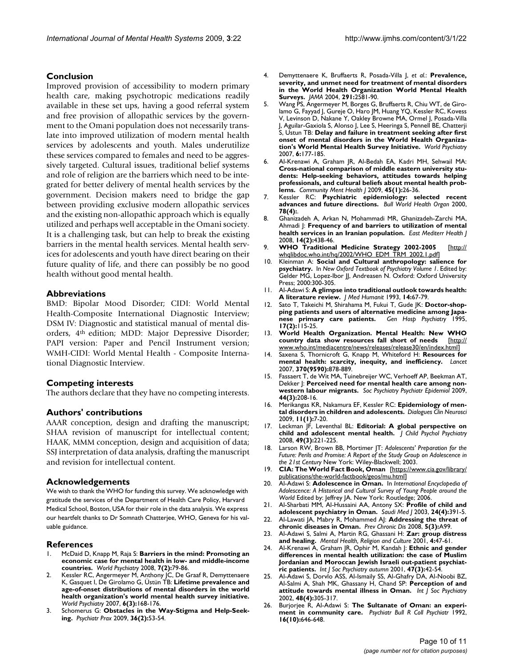## **Conclusion**

Improved provision of accessibility to modern primary health care, making psychotropic medications readily available in these set ups, having a good referral system and free provision of allopathic services by the government to the Omani population does not necessarily translate into improved utilization of modern mental health services by adolescents and youth. Males underutilize these services compared to females and need to be aggressively targeted. Cultural issues, traditional belief systems and role of religion are the barriers which need to be integrated for better delivery of mental health services by the government. Decision makers need to bridge the gap between providing exclusive modern allopathic services and the existing non-allopathic approach which is equally utilized and perhaps well acceptable in the Omani society. It is a challenging task, but can help to break the existing barriers in the mental health services. Mental health services for adolescents and youth have direct bearing on their future quality of life, and there can possibly be no good health without good mental health.

## **Abbreviations**

BMD: Bipolar Mood Disorder; CIDI: World Mental Health-Composite International Diagnostic Interview; DSM IV: Diagnostic and statistical manual of mental disorders, 4th edition; MDD: Major Depressive Disorder; PAPI version: Paper and Pencil Instrument version; WMH-CIDI: World Mental Health - Composite International Diagnostic Interview.

## **Competing interests**

The authors declare that they have no competing interests.

## **Authors' contributions**

AAAR conception, design and drafting the manuscript; SHAA revision of manuscript for intellectual content; HAAK, MMM conception, design and acquisition of data; SSJ interpretation of data analysis, drafting the manuscript and revision for intellectual content.

#### **Acknowledgements**

We wish to thank the WHO for funding this survey. We acknowledge with gratitude the services of the Department of Health Care Policy, Harvard Medical School, Boston, USA for their role in the data analysis. We express our heartfelt thanks to Dr Somnath Chatterjee, WHO, Geneva for his valuable guidance.

#### **References**

- 1. McDaid D, Knapp M, Raja S: **[Barriers in the mind: Promoting an](http://www.ncbi.nlm.nih.gov/entrez/query.fcgi?cmd=Retrieve&db=PubMed&dopt=Abstract&list_uids=18560485) [economic case for mental health in low- and middle-income](http://www.ncbi.nlm.nih.gov/entrez/query.fcgi?cmd=Retrieve&db=PubMed&dopt=Abstract&list_uids=18560485) [countries.](http://www.ncbi.nlm.nih.gov/entrez/query.fcgi?cmd=Retrieve&db=PubMed&dopt=Abstract&list_uids=18560485)** *World Psychiatry* 2008, **7(2):**79-86.
- 2. Kessler RC, Angermeyer M, Anthony JC, De Graaf R, Demyttenaere K, Gasquet I, De Girolamo G, Üstün TB: **[Lifetime prevalence and](http://www.ncbi.nlm.nih.gov/entrez/query.fcgi?cmd=Retrieve&db=PubMed&dopt=Abstract&list_uids=18188442) [age-of-onset distributions of mental disorders in the world](http://www.ncbi.nlm.nih.gov/entrez/query.fcgi?cmd=Retrieve&db=PubMed&dopt=Abstract&list_uids=18188442) health organization's world mental health survey initiative.** *World Psychiatry* 2007, **6(3):**168-176.
- Schomerus G: [Obstacles in the Way-Stigma and Help-Seek](http://www.ncbi.nlm.nih.gov/entrez/query.fcgi?cmd=Retrieve&db=PubMed&dopt=Abstract&list_uids=19263330)**[ing.](http://www.ncbi.nlm.nih.gov/entrez/query.fcgi?cmd=Retrieve&db=PubMed&dopt=Abstract&list_uids=19263330)** *Psychiatr Prax* 2009, **36(2):**53-54.
- 4. Demyttenaere K, Bruffaerts R, Posada-Villa J, *et al.*: **[Prevalence,](http://www.ncbi.nlm.nih.gov/entrez/query.fcgi?cmd=Retrieve&db=PubMed&dopt=Abstract&list_uids=15173149) [severity, and unmet need for treatment of mental disorders](http://www.ncbi.nlm.nih.gov/entrez/query.fcgi?cmd=Retrieve&db=PubMed&dopt=Abstract&list_uids=15173149) in the World Health Organization World Mental Health [Surveys.](http://www.ncbi.nlm.nih.gov/entrez/query.fcgi?cmd=Retrieve&db=PubMed&dopt=Abstract&list_uids=15173149)** *JAMA* 2004, **291:**2581-90.
- 5. Wang PS, Angermeyer M, Borges G, Bruffaerts R, Chiu WT, de Girolamo G, Fayyad J, Gureje O, Haro JM, Huang YQ, Kessler RC, Kovess V, Levinson D, Nakane Y, Oakley Browne MA, Ormel J, Posada-Villa J, Aguilar-Gaxiola S, Alonso J, Lee S, Heeringa S, Pennell BE, Chatterji S, Ustun TB: **[Delay and failure in treatment seeking after first](http://www.ncbi.nlm.nih.gov/entrez/query.fcgi?cmd=Retrieve&db=PubMed&dopt=Abstract&list_uids=18188443) [onset of mental disorders in the World Health Organiza](http://www.ncbi.nlm.nih.gov/entrez/query.fcgi?cmd=Retrieve&db=PubMed&dopt=Abstract&list_uids=18188443)[tion's World Mental Health Survey Initiative.](http://www.ncbi.nlm.nih.gov/entrez/query.fcgi?cmd=Retrieve&db=PubMed&dopt=Abstract&list_uids=18188443)** *World Psychiatry* 2007, **6:**177-185.
- 6. Al-Krenawi A, Graham JR, Al-Bedah EA, Kadri MH, Sehwail MA: **[Cross-national comparison of middle eastern university stu](http://www.ncbi.nlm.nih.gov/entrez/query.fcgi?cmd=Retrieve&db=PubMed&dopt=Abstract&list_uids=19067161)dents: Help-seeking behaviors, attitudes towards helping professionals, and cultural beliefs about mental health prob[lems.](http://www.ncbi.nlm.nih.gov/entrez/query.fcgi?cmd=Retrieve&db=PubMed&dopt=Abstract&list_uids=19067161)** *Community Ment Health J* 2009, **45(1):**26-36.
- 7. Kessler RC: **[Psychiatric epidemiology: selected recent](http://www.ncbi.nlm.nih.gov/entrez/query.fcgi?cmd=Retrieve&db=PubMed&dopt=Abstract&list_uids=10885165) [advances and future directions.](http://www.ncbi.nlm.nih.gov/entrez/query.fcgi?cmd=Retrieve&db=PubMed&dopt=Abstract&list_uids=10885165)** *Bull World Health Organ* 2000, **78(4):**.
- 8. Ghanizadeh A, Arkan N, Mohammadi MR, Ghanizadeh-Zarchi MA, Ahmadi J: **[Frequency of and barriers to utilization of mental](http://www.ncbi.nlm.nih.gov/entrez/query.fcgi?cmd=Retrieve&db=PubMed&dopt=Abstract&list_uids=18561737) [health services in an Iranian population.](http://www.ncbi.nlm.nih.gov/entrez/query.fcgi?cmd=Retrieve&db=PubMed&dopt=Abstract&list_uids=18561737)** *East Mediterr Health J* 2008, **14(2):**438-46.
- 9. **WHO Traditional Medicine Strategy 2002-2005** [\[http://](http://whqlibdoc.who.int/hq/2002/WHO_EDM_TRM_2002.1.pdf) [whqlibdoc.who.int/hq/2002/WHO\\_EDM\\_TRM\\_2002.1.pdf\]](http://whqlibdoc.who.int/hq/2002/WHO_EDM_TRM_2002.1.pdf)
- 10. Kleinman A: **Social and Cultural anthropology: salience for psychiatry.** In *New Oxford Textbook of Psychiatry Volume 1*. Edited by: Gelder MG, Lopez-Ibor JJ, Andreasen N. Oxford: Oxford University Press; 2000:300-305.
- 11. Al-Adawi S: **A glimpse into traditional outlook towards health: A literature review.** *J Med Humanit* 1993, **14:**67-79.
- 12. Sato T, Takeichi M, Shirahama M, Fukui T, Gude JK: **[Doctor-shop](http://www.ncbi.nlm.nih.gov/entrez/query.fcgi?cmd=Retrieve&db=PubMed&dopt=Abstract&list_uids=7789782)**ping patients and users of alternative medicine among Japa-<br>nese primary care patients. Gen Hosp Psychiatry 1995,  $n$ ese primary care patients. **17(2):**115-25.
- 13. **World Health Organization. Mental Health: New WHO country data show resources fall short of needs** [\[http://](http://www.who.int/mediacentre/news/releases/release30/en/index.html) [www.who.int/mediacentre/news/releases/release30/en/index.html](http://www.who.int/mediacentre/news/releases/release30/en/index.html)]
- 14. Saxena S, Thornicroft G, Knapp M, Whiteford H: **[Resources for](http://www.ncbi.nlm.nih.gov/entrez/query.fcgi?cmd=Retrieve&db=PubMed&dopt=Abstract&list_uids=17804062) [mental health: scarcity, inequity, and inefficiency.](http://www.ncbi.nlm.nih.gov/entrez/query.fcgi?cmd=Retrieve&db=PubMed&dopt=Abstract&list_uids=17804062)** *Lancet* 2007, **370(9590):**878-889.
- 15. Fassaert T, de Wit MA, Tuinebreijer WC, Verhoeff AP, Beekman AT, Dekker J: **[Perceived need for mental health care among non](http://www.ncbi.nlm.nih.gov/entrez/query.fcgi?cmd=Retrieve&db=PubMed&dopt=Abstract&list_uids=18787746)[western labour migrants.](http://www.ncbi.nlm.nih.gov/entrez/query.fcgi?cmd=Retrieve&db=PubMed&dopt=Abstract&list_uids=18787746)** *Soc Psychiatry Psychiatr Epidemiol* 2009, **44(3):**208-16.
- 16. Merikangas KR, Nakamura EF, Kessler RC: **[Epidemiology of men](http://www.ncbi.nlm.nih.gov/entrez/query.fcgi?cmd=Retrieve&db=PubMed&dopt=Abstract&list_uids=19432384)[tal disorders in children and adolescents.](http://www.ncbi.nlm.nih.gov/entrez/query.fcgi?cmd=Retrieve&db=PubMed&dopt=Abstract&list_uids=19432384)** *Dialogues Clin Neurosci* 2009, **11(1):**7-20.
- 17. Leckman JF, Leventhal BL: **[Editorial: A global perspective on](http://www.ncbi.nlm.nih.gov/entrez/query.fcgi?cmd=Retrieve&db=PubMed&dopt=Abstract&list_uids=18333928) [child and adolescent mental health.](http://www.ncbi.nlm.nih.gov/entrez/query.fcgi?cmd=Retrieve&db=PubMed&dopt=Abstract&list_uids=18333928)** *J Child Psychol Psychiatry* 2008, **49(3):**221-225.
- 18. Larson RW, Brown BB, Mortimer JT: *Adolescents' Preparation for the Future: Perils and Promise: A Report of the Study Group on Adolescence in the 21st Century* New York: Wiley-Blackwell; 2003.
- 19. **CIA: The World Fact Book, Oman** [\[https://www.cia.gov/library/](https://www.cia.gov/library/publications/the-world-factbook/geos/mu.html) [publications/the-world-factbook/geos/mu.html](https://www.cia.gov/library/publications/the-world-factbook/geos/mu.html)]
- 20. Al-Adawi S: **Adolescence in Oman.** In *International Encyclopedia of Adolescence: A Historical and Cultural Survey of Young People around the World* Edited by: Jeffrey JA. New York: Routledge; 2006.
- 21. Al-Sharbati MM, Al-Hussaini AA, Antony SX: **[Profile of child and](http://www.ncbi.nlm.nih.gov/entrez/query.fcgi?cmd=Retrieve&db=PubMed&dopt=Abstract&list_uids=12754541) [adolescent psychiatry in Oman.](http://www.ncbi.nlm.nih.gov/entrez/query.fcgi?cmd=Retrieve&db=PubMed&dopt=Abstract&list_uids=12754541)** *Saudi Med J* 2003, **24(4):**391-5.
- 22. Al-Lawati JA, Mabry R, Mohammed AJ: **[Addressing the threat of](http://www.ncbi.nlm.nih.gov/entrez/query.fcgi?cmd=Retrieve&db=PubMed&dopt=Abstract&list_uids=18558048) [chronic diseases in Oman.](http://www.ncbi.nlm.nih.gov/entrez/query.fcgi?cmd=Retrieve&db=PubMed&dopt=Abstract&list_uids=18558048)** *Prev Chronic Dis* 2008, **5(3):**A99.
- 23. Al-Adawi S, Salmi A, Martin RG, Ghassani H: **Zar: group distress and healing.** *Mental Health, Religion and Culture* 2001, **4:**47-61.
- 24. Al-Krenawi A, Graham JR, Ophir M, Kandah J: **Ethnic and gender differences in mental health utilization: the case of Muslim Jordanian and Moroccan Jewish Israeli out-patient psychiatric patients.** *Int J Soc Psychiatry autumn* 2001, **47(3):**42-54.
- 25. Al-Adawi S, Dorvlo ASS, Al-Ismaily SS, Al-Ghafry DA, Al-Noobi BZ, Al-Salmi A, Shah MK, Ghassany H, Chand SP: **[Perception of and](http://www.ncbi.nlm.nih.gov/entrez/query.fcgi?cmd=Retrieve&db=PubMed&dopt=Abstract&list_uids=12553410) [attitude towards mental illness in Oman.](http://www.ncbi.nlm.nih.gov/entrez/query.fcgi?cmd=Retrieve&db=PubMed&dopt=Abstract&list_uids=12553410)** *Int J Soc Psychiatry* 2002, **48(4):**305-317.
- 26. Burjorjee R, Al-Adawi S: **The Sultanate of Oman: an experiment in community care.** *Psychiatr Bull R Coll Psychiatr* 1992, **16(10):**646-648.